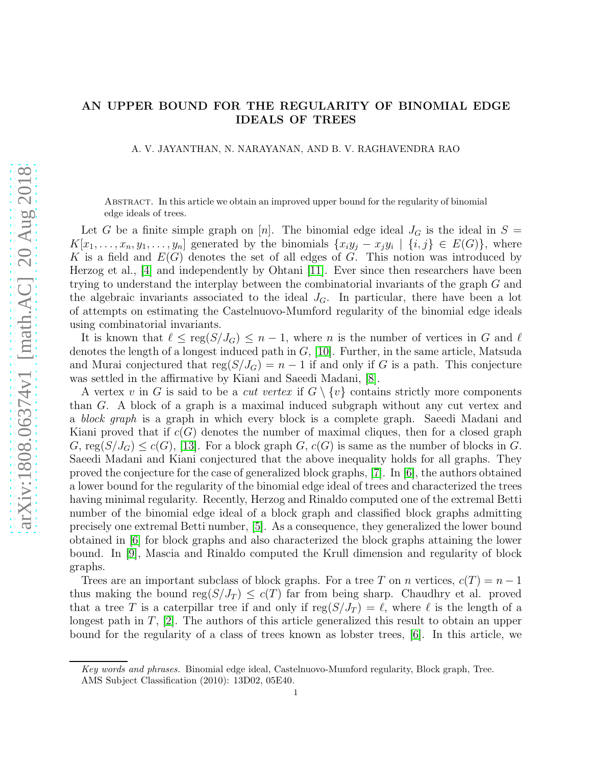## AN UPPER BOUND FOR THE REGULARITY OF BINOMIAL EDGE IDEALS OF TREES

A. V. JAYANTHAN, N. NARAYANAN, AND B. V. RAGHAVENDRA RAO

Abstract. In this article we obtain an improved upper bound for the regularity of binomial edge ideals of trees.

Let G be a finite simple graph on [n]. The binomial edge ideal  $J_G$  is the ideal in  $S =$  $K[x_1, \ldots, x_n, y_1, \ldots, y_n]$  generated by the binomials  $\{x_iy_j - x_jy_i \mid \{i, j\} \in E(G)\}\$ , where K is a field and  $E(G)$  denotes the set of all edges of G. This notion was introduced by Herzog et al., [\[4\]](#page-5-0) and independently by Ohtani [\[11\]](#page-5-1). Ever since then researchers have been trying to understand the interplay between the combinatorial invariants of the graph G and the algebraic invariants associated to the ideal  $J<sub>G</sub>$ . In particular, there have been a lot of attempts on estimating the Castelnuovo-Mumford regularity of the binomial edge ideals using combinatorial invariants.

It is known that  $\ell \leq \text{reg}(S/J_G) \leq n-1$ , where n is the number of vertices in G and  $\ell$ denotes the length of a longest induced path in  $G$ , [\[10\]](#page-5-2). Further, in the same article, Matsuda and Murai conjectured that  $reg(S/J_G) = n - 1$  if and only if G is a path. This conjecture was settled in the affirmative by Kiani and Saeedi Madani, [\[8\]](#page-5-3).

A vertex v in G is said to be a *cut vertex* if  $G \setminus \{v\}$  contains strictly more components than G. A block of a graph is a maximal induced subgraph without any cut vertex and a block graph is a graph in which every block is a complete graph. Saeedi Madani and Kiani proved that if  $c(G)$  denotes the number of maximal cliques, then for a closed graph  $G, \text{reg}(S/J_G) \leq c(G),$  [\[13\]](#page-5-4). For a block graph  $G, c(G)$  is same as the number of blocks in G. Saeedi Madani and Kiani conjectured that the above inequality holds for all graphs. They proved the conjecture for the case of generalized block graphs, [\[7\]](#page-5-5). In [\[6\]](#page-5-6), the authors obtained a lower bound for the regularity of the binomial edge ideal of trees and characterized the trees having minimal regularity. Recently, Herzog and Rinaldo computed one of the extremal Betti number of the binomial edge ideal of a block graph and classified block graphs admitting precisely one extremal Betti number, [\[5\]](#page-5-7). As a consequence, they generalized the lower bound obtained in [\[6\]](#page-5-6) for block graphs and also characterized the block graphs attaining the lower bound. In [\[9\]](#page-5-8), Mascia and Rinaldo computed the Krull dimension and regularity of block graphs.

Trees are an important subclass of block graphs. For a tree T on n vertices,  $c(T) = n - 1$ thus making the bound reg $(S/J_T) \leq c(T)$  far from being sharp. Chaudhry et al. proved that a tree T is a caterpillar tree if and only if  $reg(S/J_T) = \ell$ , where  $\ell$  is the length of a longest path in T, [\[2\]](#page-4-0). The authors of this article generalized this result to obtain an upper bound for the regularity of a class of trees known as lobster trees, [\[6\]](#page-5-6). In this article, we

Key words and phrases. Binomial edge ideal, Castelnuovo-Mumford regularity, Block graph, Tree. AMS Subject Classification (2010): 13D02, 05E40.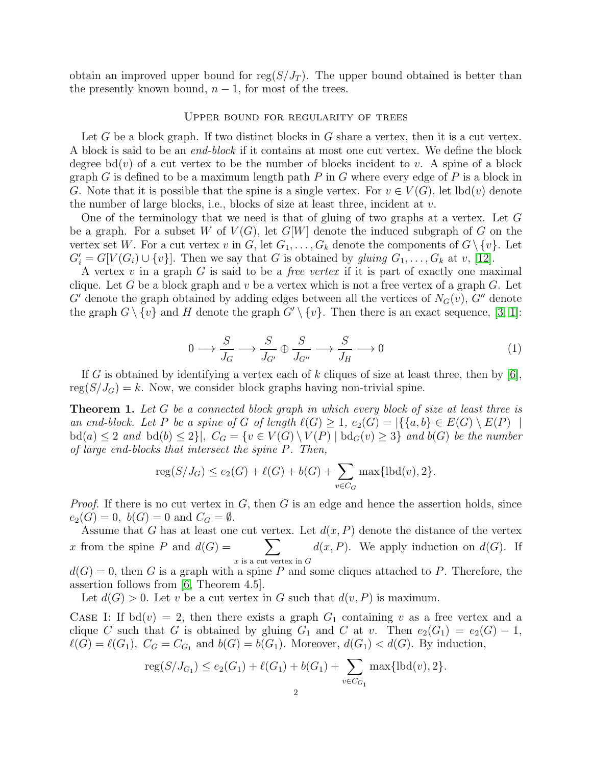obtain an improved upper bound for reg $(S/J_T)$ . The upper bound obtained is better than the presently known bound,  $n-1$ , for most of the trees.

## Upper bound for regularity of trees

Let G be a block graph. If two distinct blocks in G share a vertex, then it is a cut vertex. A block is said to be an end-block if it contains at most one cut vertex. We define the block degree  $bd(v)$  of a cut vertex to be the number of blocks incident to v. A spine of a block graph G is defined to be a maximum length path P in G where every edge of P is a block in G. Note that it is possible that the spine is a single vertex. For  $v \in V(G)$ , let  $\text{lbd}(v)$  denote the number of large blocks, i.e., blocks of size at least three, incident at  $v$ .

One of the terminology that we need is that of gluing of two graphs at a vertex. Let G be a graph. For a subset W of  $V(G)$ , let  $G[W]$  denote the induced subgraph of G on the vertex set W. For a cut vertex v in G, let  $G_1, \ldots, G_k$  denote the components of  $G \setminus \{v\}$ . Let  $G'_{i} = G[V(G_{i}) \cup \{v\}]$ . Then we say that G is obtained by gluing  $G_1, \ldots, G_k$  at v, [\[12\]](#page-5-9).

A vertex  $v$  in a graph  $G$  is said to be a *free vertex* if it is part of exactly one maximal clique. Let G be a block graph and v be a vertex which is not a free vertex of a graph  $G$ . Let G' denote the graph obtained by adding edges between all the vertices of  $N_G(v)$ , G'' denote the graph  $G \setminus \{v\}$  and H denote the graph  $G' \setminus \{v\}$ . Then there is an exact sequence, [\[3,](#page-4-1) [1\]](#page-4-2):

<span id="page-1-0"></span>
$$
0 \longrightarrow \frac{S}{J_G} \longrightarrow \frac{S}{J_{G'}} \oplus \frac{S}{J_{G''}} \longrightarrow \frac{S}{J_H} \longrightarrow 0
$$
 (1)

If G is obtained by identifying a vertex each of k cliques of size at least three, then by  $|6|$ ,  $reg(S/J_G) = k$ . Now, we consider block graphs having non-trivial spine.

<span id="page-1-1"></span>**Theorem 1.** Let G be a connected block graph in which every block of size at least three is an end-block. Let P be a spine of G of length  $\ell(G) \geq 1$ ,  $e_2(G) = |\{\{a,b\} \in E(G) \setminus E(P) |$  $\mathrm{bd}(a) \leq 2$  and  $\mathrm{bd}(b) \leq 2$ ,  $C_G = \{v \in V(G) \setminus V(P) \mid \mathrm{bd}_G(v) \geq 3\}$  and  $b(G)$  be the number of large end-blocks that intersect the spine P. Then,

$$
reg(S/J_G) \le e_2(G) + \ell(G) + b(G) + \sum_{v \in C_G} \max\{\text{lbd}(v), 2\}.
$$

*Proof.* If there is no cut vertex in  $G$ , then  $G$  is an edge and hence the assertion holds, since  $e_2(G) = 0, \; b(G) = 0 \text{ and } C_G = \emptyset.$ 

Assume that G has at least one cut vertex. Let  $d(x, P)$  denote the distance of the vertex x from the spine P and  $d(G) = \sum$  $x$  is a cut vertex in  $G$  $d(x, P)$ . We apply induction on  $d(G)$ . If

 $d(G) = 0$ , then G is a graph with a spine P and some cliques attached to P. Therefore, the assertion follows from [\[6,](#page-5-6) Theorem 4.5].

Let  $d(G) > 0$ . Let v be a cut vertex in G such that  $d(v, P)$  is maximum.

CASE I: If  $bd(v) = 2$ , then there exists a graph  $G_1$  containing v as a free vertex and a clique C such that G is obtained by gluing  $G_1$  and C at v. Then  $e_2(G_1) = e_2(G) - 1$ ,  $\ell(G) = \ell(G_1)$ ,  $C_G = C_{G_1}$  and  $b(G) = b(G_1)$ . Moreover,  $d(G_1) < d(G)$ . By induction,

$$
reg(S/J_{G_1}) \le e_2(G_1) + \ell(G_1) + b(G_1) + \sum_{v \in C_{G_1}} \max\{\text{lbd}(v), 2\}.
$$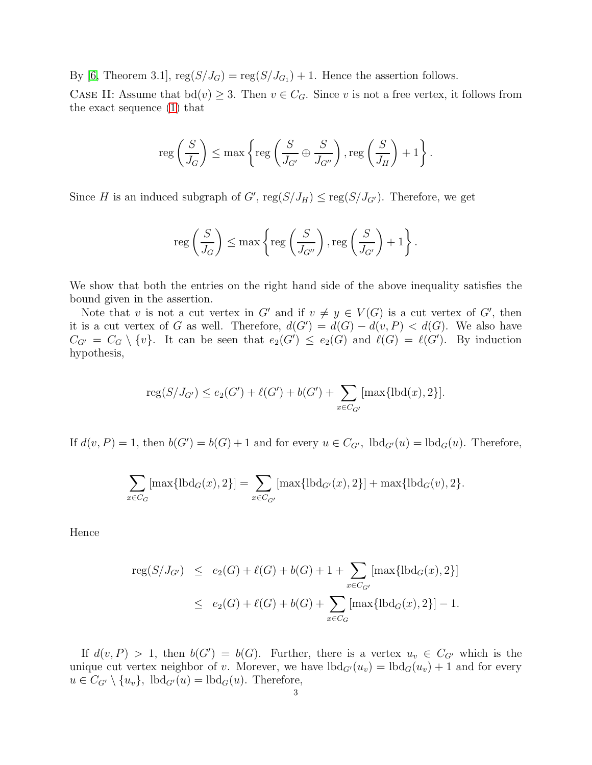By [\[6,](#page-5-6) Theorem 3.1],  $reg(S/J_G) = reg(S/J_{G_1}) + 1$ . Hence the assertion follows.

CASE II: Assume that  $bd(v) \geq 3$ . Then  $v \in C_G$ . Since v is not a free vertex, it follows from the exact sequence [\(1\)](#page-1-0) that

$$
\operatorname{reg}\left(\frac{S}{J_G}\right) \le \max\left\{\operatorname{reg}\left(\frac{S}{J_{G'}}\oplus \frac{S}{J_{G''}}\right), \operatorname{reg}\left(\frac{S}{J_H}\right) + 1\right\}.
$$

Since H is an induced subgraph of G',  $reg(S/J_H) \leq reg(S/J_{G'})$ . Therefore, we get

$$
\operatorname{reg}\left(\frac{S}{J_G}\right) \le \max\left\{\operatorname{reg}\left(\frac{S}{J_{G''}}\right), \operatorname{reg}\left(\frac{S}{J_{G'}}\right) + 1\right\}.
$$

We show that both the entries on the right hand side of the above inequality satisfies the bound given in the assertion.

Note that v is not a cut vertex in  $G'$  and if  $v \neq y \in V(G)$  is a cut vertex of  $G'$ , then it is a cut vertex of G as well. Therefore,  $d(G') = d(G) - d(v, P) < d(G)$ . We also have  $C_{G'} = C_G \setminus \{v\}.$  It can be seen that  $e_2(G') \le e_2(G)$  and  $\ell(G) = \ell(G')$ . By induction hypothesis,

$$
reg(S/J_{G'}) \le e_2(G') + \ell(G') + b(G') + \sum_{x \in C_{G'}} [max\{lbd(x), 2\}].
$$

If  $d(v, P) = 1$ , then  $b(G') = b(G) + 1$  and for every  $u \in C_{G'}$ ,  $\text{lbd}_{G'}(u) = \text{lbd}_G(u)$ . Therefore,

$$
\sum_{x \in C_G} [\max\{\text{lbd}_G(x), 2\}] = \sum_{x \in C_{G'}} [\max\{\text{lbd}_{G'}(x), 2\}] + \max\{\text{lbd}_G(v), 2\}.
$$

Hence

$$
reg(S/J_{G'}) \le e_2(G) + \ell(G) + b(G) + 1 + \sum_{x \in C_{G'}} [max\{lbd_G(x), 2\}]
$$
  
 
$$
\le e_2(G) + \ell(G) + b(G) + \sum_{x \in C_G} [max\{lbd_G(x), 2\}] - 1.
$$

If  $d(v, P) > 1$ , then  $b(G') = b(G)$ . Further, there is a vertex  $u_v \in C_{G'}$  which is the unique cut vertex neighbor of v. Morever, we have  $lbd_{G'}(u_v) = lbd_G(u_v) + 1$  and for every  $u \in C_{G'} \setminus \{u_v\}$ ,  $\text{lbd}_{G'}(u) = \text{lbd}_G(u)$ . Therefore,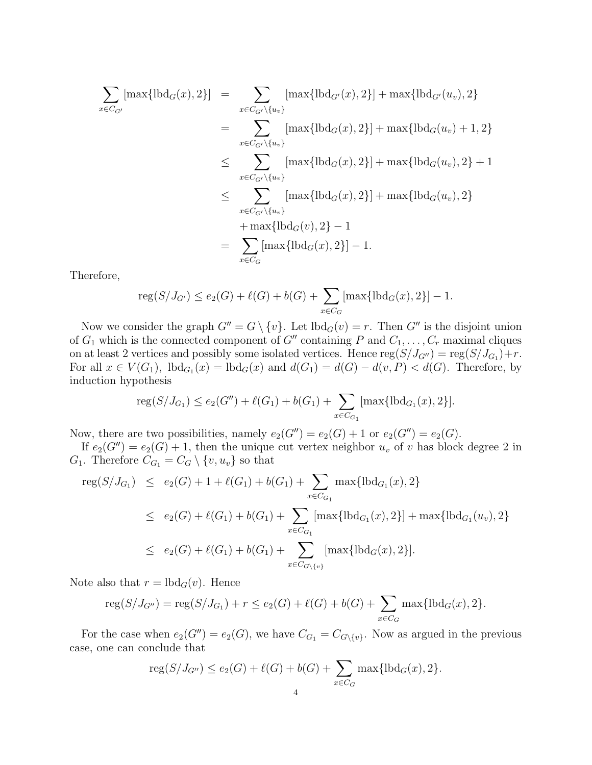$$
\sum_{x \in C_{G'}} [\max\{\text{lbd}_{G}(x), 2\}] = \sum_{x \in C_{G'} \setminus \{u_v\}} [\max\{\text{lbd}_{G'}(x), 2\}] + \max\{\text{lbd}_{G'}(u_v), 2\}
$$
\n
$$
= \sum_{x \in C_{G'} \setminus \{u_v\}} [\max\{\text{lbd}_{G}(x), 2\}] + \max\{\text{lbd}_{G}(u_v) + 1, 2\}
$$
\n
$$
\leq \sum_{x \in C_{G'} \setminus \{u_v\}} [\max\{\text{lbd}_{G}(x), 2\}] + \max\{\text{lbd}_{G}(u_v), 2\} + 1
$$
\n
$$
\leq \sum_{x \in C_{G'} \setminus \{u_v\}} [\max\{\text{lbd}_{G}(x), 2\}] + \max\{\text{lbd}_{G}(u_v), 2\}
$$
\n
$$
+ \max\{\text{lbd}_{G}(v), 2\} - 1
$$
\n
$$
= \sum_{x \in C_G} [\max\{\text{lbd}_{G}(x), 2\}] - 1.
$$

Therefore,

$$
reg(S/J_{G'}) \le e_2(G) + \ell(G) + b(G) + \sum_{x \in C_G} [max{lbd_G(x), 2}] - 1.
$$

Now we consider the graph  $G'' = G \setminus \{v\}$ . Let  $\text{lbd}_G(v) = r$ . Then  $G''$  is the disjoint union of  $G_1$  which is the connected component of  $G''$  containing P and  $C_1, \ldots, C_r$  maximal cliques on at least 2 vertices and possibly some isolated vertices. Hence  $reg(S/J_{G''}) = reg(S/J_{G_1}) + r$ . For all  $x \in V(G_1)$ ,  $lbd_{G_1}(x) = lbd_G(x)$  and  $d(G_1) = d(G) - d(v, P) < d(G)$ . Therefore, by induction hypothesis

$$
reg(S/J_{G_1}) \le e_2(G'') + \ell(G_1) + b(G_1) + \sum_{x \in C_{G_1}} [max{lbd_{G_1}(x), 2}].
$$

Now, there are two possibilities, namely  $e_2(G'') = e_2(G) + 1$  or  $e_2(G'') = e_2(G)$ .

If  $e_2(G'') = e_2(G) + 1$ , then the unique cut vertex neighbor  $u_v$  of v has block degree 2 in  $G_1$ . Therefore  $C_{G_1} = C_G \setminus \{v, u_v\}$  so that

$$
reg(S/J_{G_1}) \le e_2(G) + 1 + \ell(G_1) + b(G_1) + \sum_{x \in C_{G_1}} \max\{\text{lbd}_{G_1}(x), 2\}
$$
  
\n
$$
\le e_2(G) + \ell(G_1) + b(G_1) + \sum_{x \in C_{G_1}} [\max\{\text{lbd}_{G_1}(x), 2\}] + \max\{\text{lbd}_{G_1}(u_v), 2\}
$$
  
\n
$$
\le e_2(G) + \ell(G_1) + b(G_1) + \sum_{x \in C_{G \setminus \{v\}} } [\max\{\text{lbd}_G(x), 2\}].
$$

Note also that  $r = \text{lbd}_G(v)$ . Hence

$$
reg(S/J_{G''}) = reg(S/J_{G_1}) + r \le e_2(G) + \ell(G) + b(G) + \sum_{x \in C_G} max{lbd_G(x), 2}.
$$

For the case when  $e_2(G'') = e_2(G)$ , we have  $C_{G_1} = C_{G \setminus \{v\}}$ . Now as argued in the previous case, one can conclude that

$$
reg(S/J_{G''}) \le e_2(G) + \ell(G) + b(G) + \sum_{x \in C_G} \max\{\text{lbd}_G(x), 2\}.
$$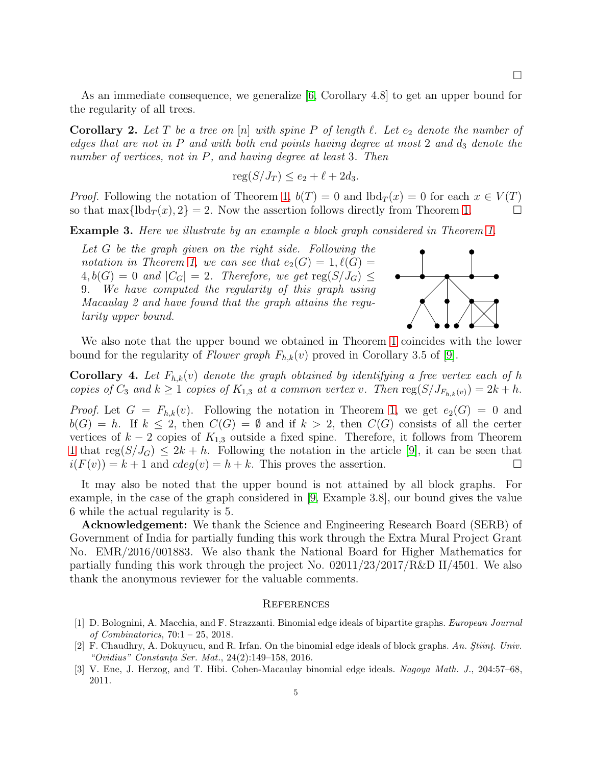As an immediate consequence, we generalize [\[6,](#page-5-6) Corollary 4.8] to get an upper bound for the regularity of all trees.

**Corollary 2.** Let T be a tree on [n] with spine P of length  $\ell$ . Let  $e_2$  denote the number of edges that are not in  $P$  and with both end points having degree at most 2 and  $d_3$  denote the number of vertices, not in P, and having degree at least 3. Then

$$
reg(S/J_T) \le e_2 + \ell + 2d_3.
$$

*Proof.* Following the notation of Theorem [1,](#page-1-1)  $b(T) = 0$  and  $b d_T(x) = 0$  for each  $x \in V(T)$ so that max $\{\text{lbd}_T(x), 2\} = 2$ . Now the assertion follows directly from Theorem [1.](#page-1-1)

Example 3. Here we illustrate by an example a block graph considered in Theorem [1.](#page-1-1)

Let G be the graph given on the right side. Following the notation in Theorem [1,](#page-1-1) we can see that  $e_2(G) = 1$ ,  $\ell(G) =$  $4, b(G) = 0$  and  $|C_G| = 2$ . Therefore, we get  $reg(S/J_G) \leq$ 9. We have computed the regularity of this graph using Macaulay 2 and have found that the graph attains the regularity upper bound.



We also note that the upper bound we obtained in Theorem [1](#page-1-1) coincides with the lower bound for the regularity of Flower graph  $F_{h,k}(v)$  proved in Corollary 3.5 of [\[9\]](#page-5-8).

**Corollary 4.** Let  $F_{h,k}(v)$  denote the graph obtained by identifying a free vertex each of h copies of  $C_3$  and  $k \geq 1$  copies of  $K_{1,3}$  at a common vertex v. Then  $\text{reg}(S/J_{F_{h,k}(v)}) = 2k + h$ .

*Proof.* Let  $G = F_{h,k}(v)$ . Following the notation in Theorem [1,](#page-1-1) we get  $e_2(G) = 0$  and  $b(G) = h$ . If  $k \leq 2$ , then  $C(G) = \emptyset$  and if  $k > 2$ , then  $C(G)$  consists of all the certer vertices of  $k-2$  copies of  $K_{1,3}$  outside a fixed spine. Therefore, it follows from Theorem [1](#page-1-1) that  $reg(S/J_G) \leq 2k + h$ . Following the notation in the article [\[9\]](#page-5-8), it can be seen that  $i(F(v)) = k + 1$  and  $cdeg(v) = h + k$ . This proves the assertion.

It may also be noted that the upper bound is not attained by all block graphs. For example, in the case of the graph considered in [\[9,](#page-5-8) Example 3.8], our bound gives the value 6 while the actual regularity is 5.

Acknowledgement: We thank the Science and Engineering Research Board (SERB) of Government of India for partially funding this work through the Extra Mural Project Grant No. EMR/2016/001883. We also thank the National Board for Higher Mathematics for partially funding this work through the project No. 02011/23/2017/R&D II/4501. We also thank the anonymous reviewer for the valuable comments.

## **REFERENCES**

- <span id="page-4-2"></span>[1] D. Bolognini, A. Macchia, and F. Strazzanti. Binomial edge ideals of bipartite graphs. European Journal of Combinatorics, 70:1 – 25, 2018.
- <span id="page-4-0"></span>[2] F. Chaudhry, A. Dokuyucu, and R. Irfan. On the binomial edge ideals of block graphs. An. Stiint. Univ. "Ovidius" Constanța Ser. Mat.,  $24(2):149-158$ ,  $2016$ .
- <span id="page-4-1"></span>[3] V. Ene, J. Herzog, and T. Hibi. Cohen-Macaulay binomial edge ideals. Nagoya Math. J., 204:57–68, 2011.